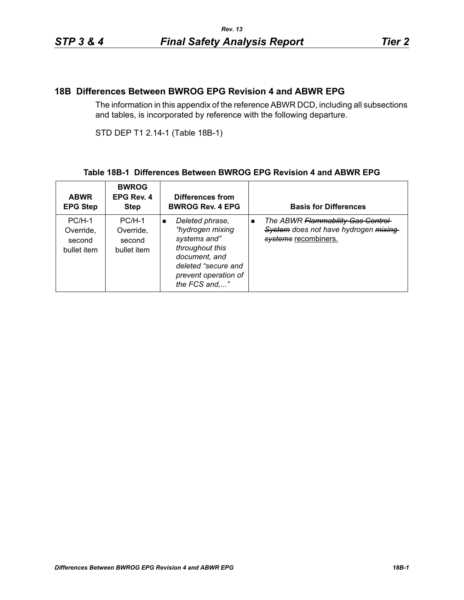## **18B Differences Between BWROG EPG Revision 4 and ABWR EPG**

The information in this appendix of the reference ABWR DCD, including all subsections and tables, is incorporated by reference with the following departure.

STD DEP T1 2.14-1 (Table 18B-1)

## **Table 18B-1 Differences Between BWROG EPG Revision 4 and ABWR EPG**

| <b>ABWR</b><br><b>EPG Step</b>                 | <b>BWROG</b><br>EPG Rev. 4<br><b>Step</b>      | Differences from<br><b>BWROG Rev. 4 EPG</b>                                                                                                                               | <b>Basis for Differences</b>                                                                                         |
|------------------------------------------------|------------------------------------------------|---------------------------------------------------------------------------------------------------------------------------------------------------------------------------|----------------------------------------------------------------------------------------------------------------------|
| $PC/H-1$<br>Override,<br>second<br>bullet item | $PC/H-1$<br>Override.<br>second<br>bullet item | Deleted phrase,<br>$\blacksquare$<br>"hydrogen mixing<br>systems and"<br>throughout this<br>document, and<br>deleted "secure and<br>prevent operation of<br>the FCS and," | The ABWR Flammability Gas Control-<br>$\blacksquare$<br>System does not have hydrogen mixing<br>systems recombiners. |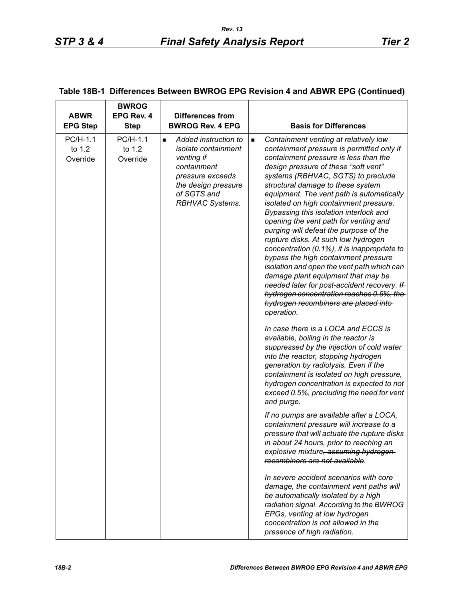| <b>ABWR</b><br><b>EPG Step</b> | <b>BWROG</b><br>EPG Rev. 4<br><b>Step</b> | <b>Differences from</b><br><b>BWROG Rev. 4 EPG</b>                                                                                                                       | <b>Basis for Differences</b>                                                                                                                                                                                                                                                                                                                                                                                                                                                                                                                                                                                                                                                                                                                                                                                                                 |
|--------------------------------|-------------------------------------------|--------------------------------------------------------------------------------------------------------------------------------------------------------------------------|----------------------------------------------------------------------------------------------------------------------------------------------------------------------------------------------------------------------------------------------------------------------------------------------------------------------------------------------------------------------------------------------------------------------------------------------------------------------------------------------------------------------------------------------------------------------------------------------------------------------------------------------------------------------------------------------------------------------------------------------------------------------------------------------------------------------------------------------|
| PC/H-1.1<br>to 1.2<br>Override | PC/H-1.1<br>to 1.2<br>Override            | Added instruction to<br>п<br><i>isolate containment</i><br>venting if<br>containment<br>pressure exceeds<br>the design pressure<br>of SGTS and<br><b>RBHVAC Systems.</b> | Containment venting at relatively low<br>٠<br>containment pressure is permitted only if<br>containment pressure is less than the<br>design pressure of these "soft vent"<br>systems (RBHVAC, SGTS) to preclude<br>structural damage to these system<br>equipment. The vent path is automatically<br>isolated on high containment pressure.<br>Bypassing this isolation interlock and<br>opening the vent path for venting and<br>purging will defeat the purpose of the<br>rupture disks. At such low hydrogen<br>concentration (0.1%), it is inappropriate to<br>bypass the high containment pressure<br>isolation and open the vent path which can<br>damage plant equipment that may be<br>needed later for post-accident recovery. If<br>hydrogen concentration reaches 0.5%, the<br>hydrogen recombiners are placed into-<br>operation. |
|                                |                                           |                                                                                                                                                                          | In case there is a LOCA and ECCS is<br>available, boiling in the reactor is<br>suppressed by the injection of cold water<br>into the reactor, stopping hydrogen<br>generation by radiolysis. Even if the<br>containment is isolated on high pressure,<br>hydrogen concentration is expected to not<br>exceed 0.5%, precluding the need for vent<br>and purge.                                                                                                                                                                                                                                                                                                                                                                                                                                                                                |
|                                |                                           |                                                                                                                                                                          | If no pumps are available after a LOCA,<br>containment pressure will increase to a<br>pressure that will actuate the rupture disks<br>in about 24 hours, prior to reaching an<br>explosive mixture, assuming hydrogen-<br>recombiners are not available.                                                                                                                                                                                                                                                                                                                                                                                                                                                                                                                                                                                     |
|                                |                                           |                                                                                                                                                                          | In severe accident scenarios with core<br>damage, the containment vent paths will<br>be automatically isolated by a high<br>radiation signal. According to the BWROG<br>EPGs, venting at low hydrogen<br>concentration is not allowed in the<br>presence of high radiation.                                                                                                                                                                                                                                                                                                                                                                                                                                                                                                                                                                  |

## **Table 18B-1 Differences Between BWROG EPG Revision 4 and ABWR EPG (Continued)**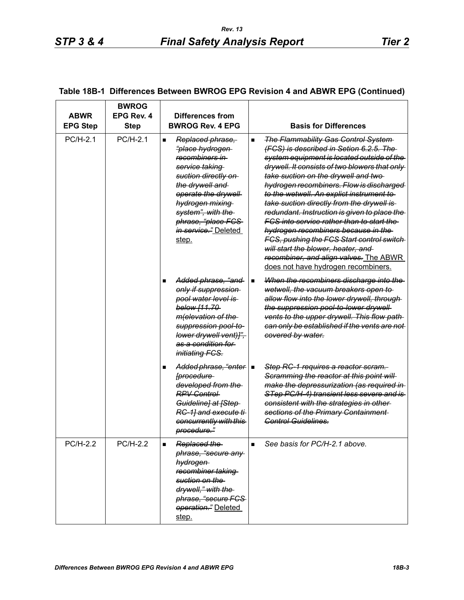| <b>ABWR</b><br><b>EPG Step</b> | <b>BWROG</b><br>EPG Rev. 4<br><b>Step</b> | Differences from<br><b>BWROG Rev. 4 EPG</b>                                                                                                                                                                                                                                   | <b>Basis for Differences</b>                                                                                                                                                                                                                                                                                                                                                                                                                                                                                                                                                                                                                                                                                |
|--------------------------------|-------------------------------------------|-------------------------------------------------------------------------------------------------------------------------------------------------------------------------------------------------------------------------------------------------------------------------------|-------------------------------------------------------------------------------------------------------------------------------------------------------------------------------------------------------------------------------------------------------------------------------------------------------------------------------------------------------------------------------------------------------------------------------------------------------------------------------------------------------------------------------------------------------------------------------------------------------------------------------------------------------------------------------------------------------------|
| $PC/H-2.1$                     | $PC/H-2.1$                                | Replaced phrase,<br>$\blacksquare$<br><del>"place hydrogen-</del><br>recombiners in<br>service taking<br>suction directly on<br>the drywell and<br>operate the drywell<br>hydrogen mixing<br>system", with the<br>phrase, "place FCS<br><i>in service.</i> " Deleted<br>step. | <b>The Flammability Gas Control System-</b><br>$\blacksquare$<br>(FCS) is described in Setion 6.2.5. The<br>system equipment is located outside of the<br>drywell. It consists of two blowers that only<br>take suction on the drywell and two-<br>hydrogen recombiners. Flow is discharged<br>to the wetwell. An explict instrument to<br>take suction directly from the drywell is<br>redundant. Instruction is given to place the<br><u>FCS into service rather than to start the </u><br>hydrogen recombiners because in the<br><b>FCS, pushing the FCS Start control switch</b><br>will start the blower, heater, and<br>recombiner, and align valves. The ABWR<br>does not have hydrogen recombiners. |
|                                |                                           | Added phrase, "and-<br>only if suppression<br>pool water level is<br>below [11.70-<br><i>m</i> (elevation of the<br>suppression pool-to-<br>lower drywell vent)]",<br><del>as a condition for</del><br><i>initiating FCS.</i>                                                 | When the recombiners discharge into the<br>٠<br>wetwell, the vacuum breakers open to<br>allow flow into the lower drywell, through<br>the suppression pool-to-lower drywell<br>vents to the upper drywell. This flow path<br>can only be established if the vents are not<br>covered by water.                                                                                                                                                                                                                                                                                                                                                                                                              |
|                                |                                           | Added phrase, "enter   ■<br><i><u><b>[procedure</b></u></i><br>developed from the<br><b>RPV Control</b><br>Guideline] at [Step-<br>RC-1] and execute ti<br>concurrently with this<br>procedure."                                                                              | Step RC-1 requires a reactor scram.<br>Scramming the reactor at this point will<br>make the depressurization (as required in<br>STep PC/H-4) transient less severe and is<br>consistent with the strategies in other-<br>sections of the Primary Containment<br>Control Guidelines.                                                                                                                                                                                                                                                                                                                                                                                                                         |
| PC/H-2.2                       | PC/H-2.2                                  | Replaced the<br>phrase, "secure any<br>hydrogen<br>recombiner taking<br>suction on the<br>drywell," with the<br>phrase, "secure FCS-<br>operation." Deleted<br>step.                                                                                                          | See basis for PC/H-2.1 above.<br>$\blacksquare$                                                                                                                                                                                                                                                                                                                                                                                                                                                                                                                                                                                                                                                             |

## **Table 18B-1 Differences Between BWROG EPG Revision 4 and ABWR EPG (Continued)**